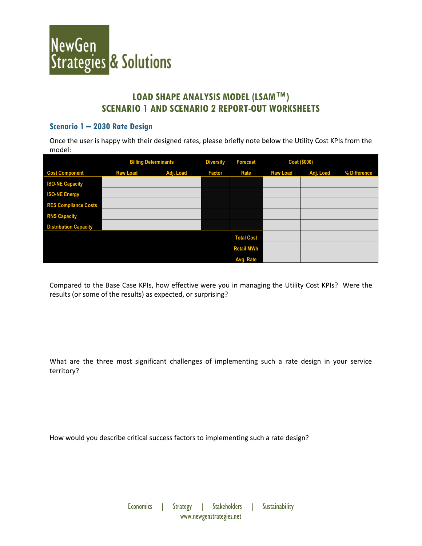

## **LOAD SHAPE ANALYSIS MODEL (LSAM™) SCENARIO 1 AND SCENARIO 2 REPORT-OUT WORKSHEETS**

#### **Scenario 1 – 2030 Rate Design**

Once the user is happy with their designed rates, please briefly note below the Utility Cost KPIs from the model:

|                              | <b>Billing Determinants</b> |           | <b>Diversity</b> | <b>Forecast</b>   | <b>Cost (\$000)</b> |           |              |
|------------------------------|-----------------------------|-----------|------------------|-------------------|---------------------|-----------|--------------|
| <b>Cost Component</b>        | <b>Raw Load</b>             | Adj. Load | <b>Factor</b>    | <b>Rate</b>       | <b>Raw Load</b>     | Adj. Load | % Difference |
| <b>ISO-NE Capacity</b>       |                             |           |                  |                   |                     |           |              |
| <b>ISO-NE Energy</b>         |                             |           |                  |                   |                     |           |              |
| <b>RES Compliance Costs</b>  |                             |           |                  |                   |                     |           |              |
| <b>RNS Capacity</b>          |                             |           |                  |                   |                     |           |              |
| <b>Distribution Capacity</b> |                             |           |                  |                   |                     |           |              |
|                              |                             |           |                  | <b>Total Cost</b> |                     |           |              |
|                              |                             |           |                  | <b>Retail MWh</b> |                     |           |              |
|                              |                             |           |                  | Avg. Rate         |                     |           |              |

Compared to the Base Case KPIs, how effective were you in managing the Utility Cost KPIs? Were the results (or some of the results) as expected, or surprising?

What are the three most significant challenges of implementing such a rate design in your service territory?

How would you describe critical success factors to implementing such a rate design?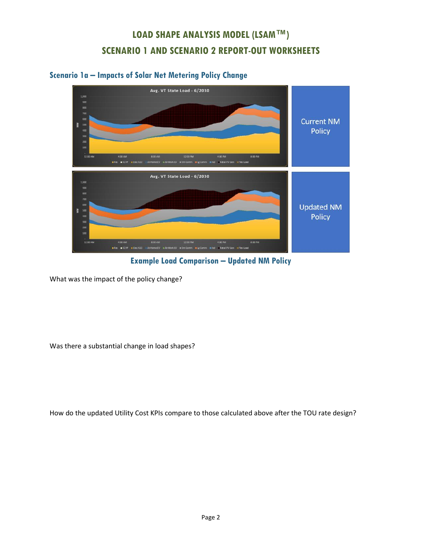# **LOAD SHAPE ANALYSIS MODEL (LSAM™) SCENARIO 1 AND SCENARIO 2 REPORT-OUT WORKSHEETS**

### **Scenario 1a – Impacts of Solar Net Metering Policy Change**



**Example Load Comparison – Updated NM Policy**

What was the impact of the policy change?

Was there a substantial change in load shapes?

How do the updated Utility Cost KPIs compare to those calculated above after the TOU rate design?